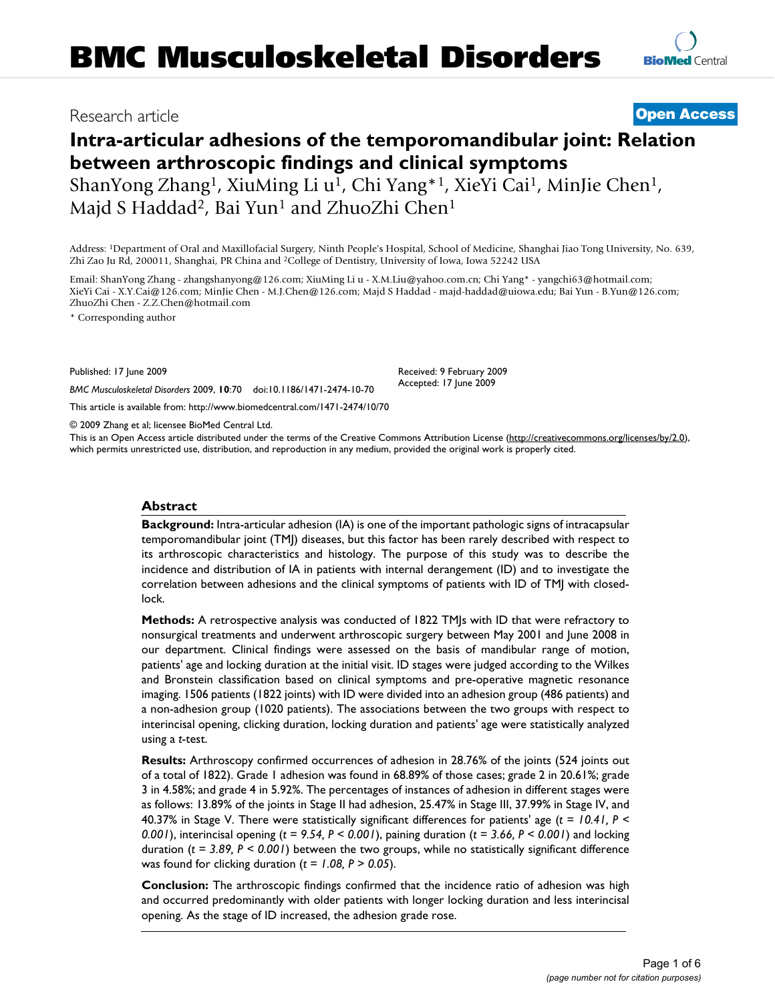# Research article **[Open Access](http://www.biomedcentral.com/info/about/charter/)**

# **Intra-articular adhesions of the temporomandibular joint: Relation between arthroscopic findings and clinical symptoms**

ShanYong Zhang<sup>1</sup>, XiuMing Li u<sup>1</sup>, Chi Yang\*<sup>1</sup>, XieYi Cai<sup>1</sup>, MinJie Chen<sup>1</sup>, Majd S Haddad<sup>2</sup>, Bai Yun<sup>1</sup> and ZhuoZhi Chen<sup>1</sup>

Address: 1Department of Oral and Maxillofacial Surgery, Ninth People's Hospital, School of Medicine, Shanghai Jiao Tong University, No. 639, Zhi Zao Ju Rd, 200011, Shanghai, PR China and 2College of Dentistry, University of Iowa, Iowa 52242 USA

Email: ShanYong Zhang - zhangshanyong@126.com; XiuMing Li u - X.M.Liu@yahoo.com.cn; Chi Yang\* - yangchi63@hotmail.com; XieYi Cai - X.Y.Cai@126.com; MinJie Chen - M.J.Chen@126.com; Majd S Haddad - majd-haddad@uiowa.edu; Bai Yun - B.Yun@126.com; ZhuoZhi Chen - Z.Z.Chen@hotmail.com

\* Corresponding author

Published: 17 June 2009

Received: 9 February 2009 Accepted: 17 June 2009

© 2009 Zhang et al; licensee BioMed Central Ltd.

*BMC Musculoskeletal Disorders* 2009, **10**:70 doi:10.1186/1471-2474-10-70

[This article is available from: http://www.biomedcentral.com/1471-2474/10/70](http://www.biomedcentral.com/1471-2474/10/70)

This is an Open Access article distributed under the terms of the Creative Commons Attribution License [\(http://creativecommons.org/licenses/by/2.0\)](http://creativecommons.org/licenses/by/2.0), which permits unrestricted use, distribution, and reproduction in any medium, provided the original work is properly cited.

#### **Abstract**

**Background:** Intra-articular adhesion (IA) is one of the important pathologic signs of intracapsular temporomandibular joint (TMJ) diseases, but this factor has been rarely described with respect to its arthroscopic characteristics and histology. The purpose of this study was to describe the incidence and distribution of IA in patients with internal derangement (ID) and to investigate the correlation between adhesions and the clinical symptoms of patients with ID of TMJ with closedlock.

**Methods:** A retrospective analysis was conducted of 1822 TMJs with ID that were refractory to nonsurgical treatments and underwent arthroscopic surgery between May 2001 and June 2008 in our department. Clinical findings were assessed on the basis of mandibular range of motion, patients' age and locking duration at the initial visit. ID stages were judged according to the Wilkes and Bronstein classification based on clinical symptoms and pre-operative magnetic resonance imaging. 1506 patients (1822 joints) with ID were divided into an adhesion group (486 patients) and a non-adhesion group (1020 patients). The associations between the two groups with respect to interincisal opening, clicking duration, locking duration and patients' age were statistically analyzed using a *t*-test.

**Results:** Arthroscopy confirmed occurrences of adhesion in 28.76% of the joints (524 joints out of a total of 1822). Grade 1 adhesion was found in 68.89% of those cases; grade 2 in 20.61%; grade 3 in 4.58%; and grade 4 in 5.92%. The percentages of instances of adhesion in different stages were as follows: 13.89% of the joints in Stage II had adhesion, 25.47% in Stage III, 37.99% in Stage IV, and 40.37% in Stage V. There were statistically significant differences for patients' age (*t = 10.41, P < 0.001*), interincisal opening (*t = 9.54, P < 0.001*), paining duration (*t = 3.66, P < 0.001*) and locking duration (*t = 3.89, P < 0.001*) between the two groups, while no statistically significant difference was found for clicking duration (*t = 1.08, P > 0.05*).

**Conclusion:** The arthroscopic findings confirmed that the incidence ratio of adhesion was high and occurred predominantly with older patients with longer locking duration and less interincisal opening. As the stage of ID increased, the adhesion grade rose.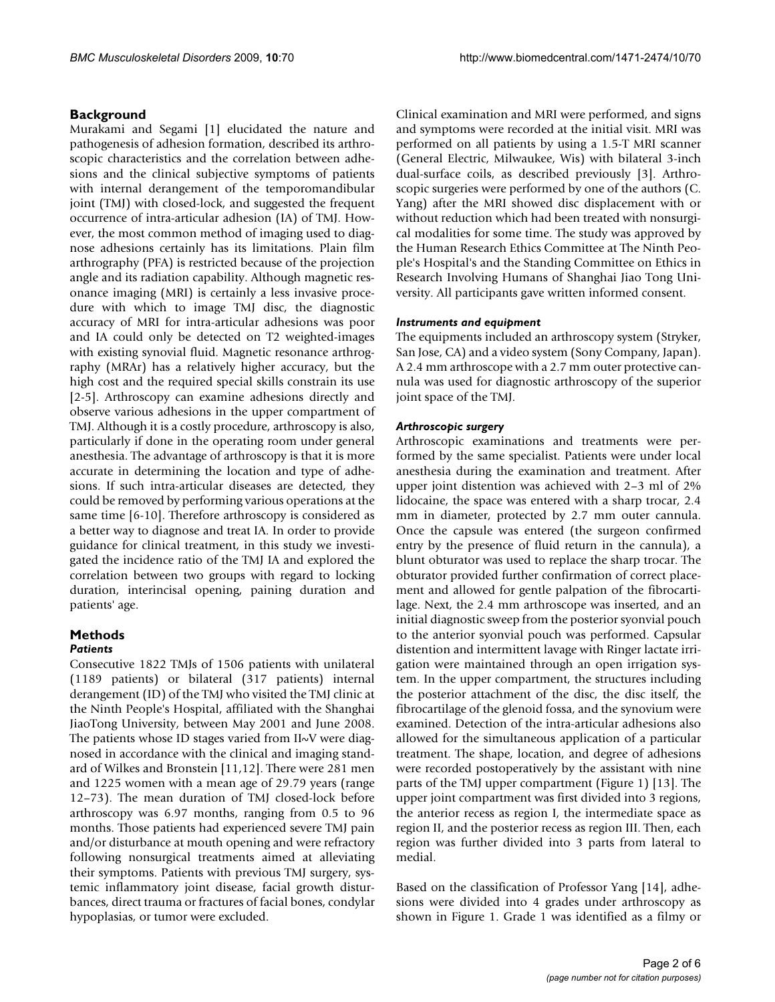# **Background**

Murakami and Segami [1] elucidated the nature and pathogenesis of adhesion formation, described its arthroscopic characteristics and the correlation between adhesions and the clinical subjective symptoms of patients with internal derangement of the temporomandibular joint (TMJ) with closed-lock, and suggested the frequent occurrence of intra-articular adhesion (IA) of TMJ. However, the most common method of imaging used to diagnose adhesions certainly has its limitations. Plain film arthrography (PFA) is restricted because of the projection angle and its radiation capability. Although magnetic resonance imaging (MRI) is certainly a less invasive procedure with which to image TMJ disc, the diagnostic accuracy of MRI for intra-articular adhesions was poor and IA could only be detected on T2 weighted-images with existing synovial fluid. Magnetic resonance arthrography (MRAr) has a relatively higher accuracy, but the high cost and the required special skills constrain its use [2-5]. Arthroscopy can examine adhesions directly and observe various adhesions in the upper compartment of TMJ. Although it is a costly procedure, arthroscopy is also, particularly if done in the operating room under general anesthesia. The advantage of arthroscopy is that it is more accurate in determining the location and type of adhesions. If such intra-articular diseases are detected, they could be removed by performing various operations at the same time [6-10]. Therefore arthroscopy is considered as a better way to diagnose and treat IA. In order to provide guidance for clinical treatment, in this study we investigated the incidence ratio of the TMJ IA and explored the correlation between two groups with regard to locking duration, interincisal opening, paining duration and patients' age.

#### **Methods** *Patients*

Consecutive 1822 TMJs of 1506 patients with unilateral (1189 patients) or bilateral (317 patients) internal derangement (ID) of the TMJ who visited the TMJ clinic at the Ninth People's Hospital, affiliated with the Shanghai JiaoTong University, between May 2001 and June 2008. The patients whose ID stages varied from II~V were diagnosed in accordance with the clinical and imaging standard of Wilkes and Bronstein [11,12]. There were 281 men and 1225 women with a mean age of 29.79 years (range 12–73). The mean duration of TMJ closed-lock before arthroscopy was 6.97 months, ranging from 0.5 to 96 months. Those patients had experienced severe TMJ pain and/or disturbance at mouth opening and were refractory following nonsurgical treatments aimed at alleviating their symptoms. Patients with previous TMJ surgery, systemic inflammatory joint disease, facial growth disturbances, direct trauma or fractures of facial bones, condylar hypoplasias, or tumor were excluded.

Clinical examination and MRI were performed, and signs and symptoms were recorded at the initial visit. MRI was performed on all patients by using a 1.5-T MRI scanner (General Electric, Milwaukee, Wis) with bilateral 3-inch dual-surface coils, as described previously [3]. Arthroscopic surgeries were performed by one of the authors (C. Yang) after the MRI showed disc displacement with or without reduction which had been treated with nonsurgical modalities for some time. The study was approved by the Human Research Ethics Committee at The Ninth People's Hospital's and the Standing Committee on Ethics in Research Involving Humans of Shanghai Jiao Tong University. All participants gave written informed consent.

# *Instruments and equipment*

The equipments included an arthroscopy system (Stryker, San Jose, CA) and a video system (Sony Company, Japan). A 2.4 mm arthroscope with a 2.7 mm outer protective cannula was used for diagnostic arthroscopy of the superior joint space of the TMJ.

### *Arthroscopic surgery*

Arthroscopic examinations and treatments were performed by the same specialist. Patients were under local anesthesia during the examination and treatment. After upper joint distention was achieved with 2–3 ml of 2% lidocaine, the space was entered with a sharp trocar, 2.4 mm in diameter, protected by 2.7 mm outer cannula. Once the capsule was entered (the surgeon confirmed entry by the presence of fluid return in the cannula), a blunt obturator was used to replace the sharp trocar. The obturator provided further confirmation of correct placement and allowed for gentle palpation of the fibrocartilage. Next, the 2.4 mm arthroscope was inserted, and an initial diagnostic sweep from the posterior syonvial pouch to the anterior syonvial pouch was performed. Capsular distention and intermittent lavage with Ringer lactate irrigation were maintained through an open irrigation system. In the upper compartment, the structures including the posterior attachment of the disc, the disc itself, the fibrocartilage of the glenoid fossa, and the synovium were examined. Detection of the intra-articular adhesions also allowed for the simultaneous application of a particular treatment. The shape, location, and degree of adhesions were recorded postoperatively by the assistant with nine parts of the TMJ upper compartment (Figure 1) [13]. The upper joint compartment was first divided into 3 regions, the anterior recess as region I, the intermediate space as region II, and the posterior recess as region III. Then, each region was further divided into 3 parts from lateral to medial.

Based on the classification of Professor Yang [14], adhesions were divided into 4 grades under arthroscopy as shown in Figure 1. Grade 1 was identified as a filmy or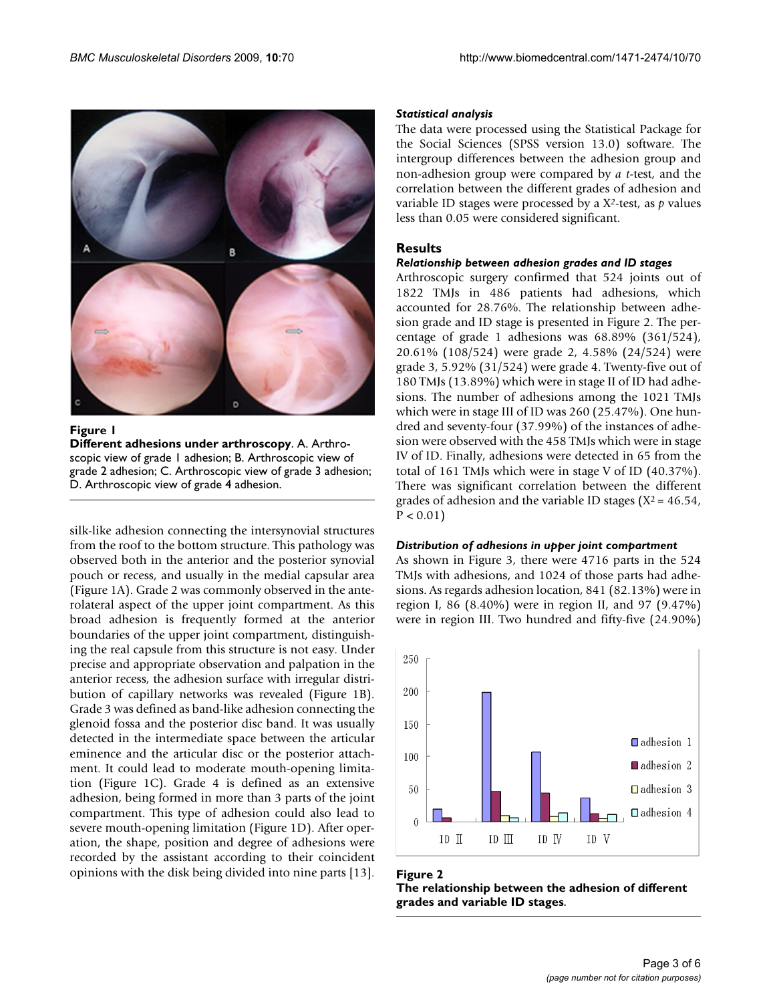

**Figure 1 Different adhesions under arthroscopy**. A. Arthroscopic view of grade 1 adhesion; B. Arthroscopic view of grade 2 adhesion; C. Arthroscopic view of grade 3 adhesion; D. Arthroscopic view of grade 4 adhesion.

silk-like adhesion connecting the intersynovial structures from the roof to the bottom structure. This pathology was observed both in the anterior and the posterior synovial pouch or recess, and usually in the medial capsular area (Figure 1A). Grade 2 was commonly observed in the anterolateral aspect of the upper joint compartment. As this broad adhesion is frequently formed at the anterior boundaries of the upper joint compartment, distinguishing the real capsule from this structure is not easy. Under precise and appropriate observation and palpation in the anterior recess, the adhesion surface with irregular distribution of capillary networks was revealed (Figure 1B). Grade 3 was defined as band-like adhesion connecting the glenoid fossa and the posterior disc band. It was usually detected in the intermediate space between the articular eminence and the articular disc or the posterior attachment. It could lead to moderate mouth-opening limitation (Figure 1C). Grade 4 is defined as an extensive adhesion, being formed in more than 3 parts of the joint compartment. This type of adhesion could also lead to severe mouth-opening limitation (Figure 1D). After operation, the shape, position and degree of adhesions were recorded by the assistant according to their coincident opinions with the disk being divided into nine parts [13].

#### *Statistical analysis*

The data were processed using the Statistical Package for the Social Sciences (SPSS version 13.0) software. The intergroup differences between the adhesion group and non-adhesion group were compared by *a t*-test, and the correlation between the different grades of adhesion and variable ID stages were processed by a X*<sup>2</sup>*-test, as *p* values less than 0.05 were considered significant.

#### **Results**

#### *Relationship between adhesion grades and ID stages*

Arthroscopic surgery confirmed that 524 joints out of 1822 TMJs in 486 patients had adhesions, which accounted for 28.76%. The relationship between adhesion grade and ID stage is presented in Figure 2. The percentage of grade 1 adhesions was 68.89% (361/524), 20.61% (108/524) were grade 2, 4.58% (24/524) were grade 3, 5.92% (31/524) were grade 4. Twenty-five out of 180 TMJs (13.89%) which were in stage II of ID had adhesions. The number of adhesions among the 1021 TMJs which were in stage III of ID was 260 (25.47%). One hundred and seventy-four (37.99%) of the instances of adhesion were observed with the 458 TMJs which were in stage IV of ID. Finally, adhesions were detected in 65 from the total of 161 TMJs which were in stage V of ID (40.37%). There was significant correlation between the different grades of adhesion and the variable ID stages ( $X^2 = 46.54$ ,  $P < 0.01$ )

#### *Distribution of adhesions in upper joint compartment*

As shown in Figure 3, there were 4716 parts in the 524 TMJs with adhesions, and 1024 of those parts had adhesions. As regards adhesion location, 841 (82.13%) were in region I, 86 (8.40%) were in region II, and 97 (9.47%) were in region III. Two hundred and fifty-five (24.90%)



#### Figure 2

**The relationship between the adhesion of different grades and variable ID stages**.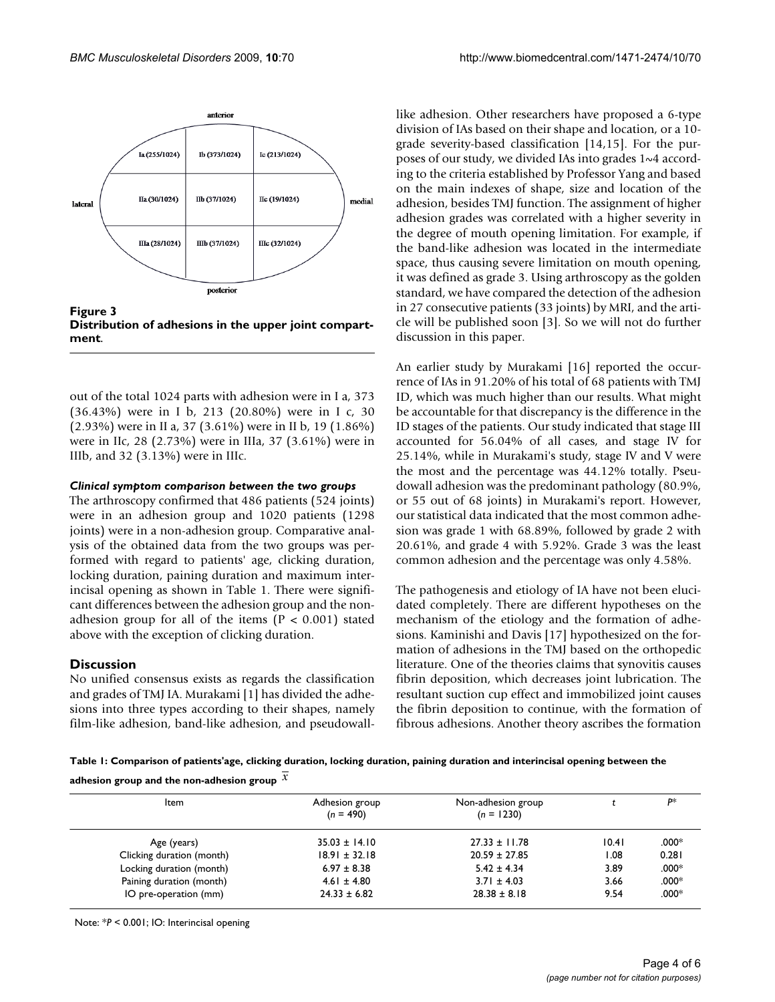

**Figure 3 Distribution of adhesions in the upper joint compartment**.

out of the total 1024 parts with adhesion were in I a, 373 (36.43%) were in I b, 213 (20.80%) were in I c, 30 (2.93%) were in II a, 37 (3.61%) were in II b, 19 (1.86%) were in IIc, 28 (2.73%) were in IIIa, 37 (3.61%) were in IIIb, and 32 (3.13%) were in IIIc.

#### *Clinical symptom comparison between the two groups*

The arthroscopy confirmed that 486 patients (524 joints) were in an adhesion group and 1020 patients (1298 joints) were in a non-adhesion group. Comparative analysis of the obtained data from the two groups was performed with regard to patients' age, clicking duration, locking duration, paining duration and maximum interincisal opening as shown in Table 1. There were significant differences between the adhesion group and the nonadhesion group for all of the items ( $P < 0.001$ ) stated above with the exception of clicking duration.

#### **Discussion**

No unified consensus exists as regards the classification and grades of TMJ IA. Murakami [1] has divided the adhesions into three types according to their shapes, namely film-like adhesion, band-like adhesion, and pseudowalllike adhesion. Other researchers have proposed a 6-type division of IAs based on their shape and location, or a 10 grade severity-based classification [14,15]. For the purposes of our study, we divided IAs into grades 1~4 according to the criteria established by Professor Yang and based on the main indexes of shape, size and location of the adhesion, besides TMJ function. The assignment of higher adhesion grades was correlated with a higher severity in the degree of mouth opening limitation. For example, if the band-like adhesion was located in the intermediate space, thus causing severe limitation on mouth opening, it was defined as grade 3. Using arthroscopy as the golden standard, we have compared the detection of the adhesion in 27 consecutive patients (33 joints) by MRI, and the article will be published soon [3]. So we will not do further discussion in this paper.

An earlier study by Murakami [16] reported the occurrence of IAs in 91.20% of his total of 68 patients with TMJ ID, which was much higher than our results. What might be accountable for that discrepancy is the difference in the ID stages of the patients. Our study indicated that stage III accounted for 56.04% of all cases, and stage IV for 25.14%, while in Murakami's study, stage IV and V were the most and the percentage was 44.12% totally. Pseudowall adhesion was the predominant pathology (80.9%, or 55 out of 68 joints) in Murakami's report. However, our statistical data indicated that the most common adhesion was grade 1 with 68.89%, followed by grade 2 with 20.61%, and grade 4 with 5.92%. Grade 3 was the least common adhesion and the percentage was only 4.58%.

The pathogenesis and etiology of IA have not been elucidated completely. There are different hypotheses on the mechanism of the etiology and the formation of adhesions. Kaminishi and Davis [17] hypothesized on the formation of adhesions in the TMJ based on the orthopedic literature. One of the theories claims that synovitis causes fibrin deposition, which decreases joint lubrication. The resultant suction cup effect and immobilized joint causes the fibrin deposition to continue, with the formation of fibrous adhesions. Another theory ascribes the formation

**Table 1: Comparison of patients'age, clicking duration, locking duration, paining duration and interincisal opening between the** adhesion group and the non-adhesion group  $\overline{\overline{x}}$ 

| Item                      | Adhesion group<br>$(n = 490)$ | Non-adhesion group<br>$(n = 1230)$ |       | D∗      |
|---------------------------|-------------------------------|------------------------------------|-------|---------|
| Age (years)               | $35.03 \pm 14.10$             | $27.33 \pm 11.78$                  | 10.41 | $.000*$ |
| Clicking duration (month) | $18.91 \pm 32.18$             | $20.59 \pm 27.85$                  | 08. ا | 0.281   |
| Locking duration (month)  | $6.97 \pm 8.38$               | $5.42 \pm 4.34$                    | 3.89  | $.000*$ |
| Paining duration (month)  | $4.61 \pm 4.80$               | $3.71 \pm 4.03$                    | 3.66  | $.000*$ |
| IO pre-operation (mm)     | $24.33 \pm 6.82$              | $28.38 \pm 8.18$                   | 9.54  | $.000*$ |

Note: \**P* < 0.001; IO: Interincisal opening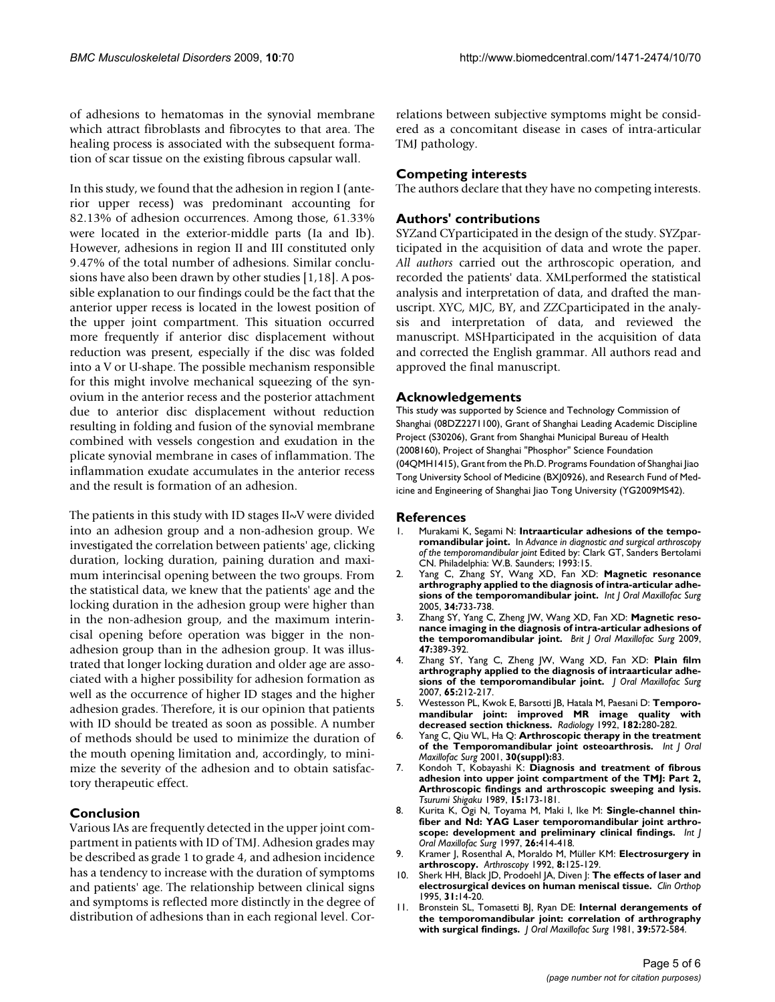of adhesions to hematomas in the synovial membrane which attract fibroblasts and fibrocytes to that area. The healing process is associated with the subsequent formation of scar tissue on the existing fibrous capsular wall.

In this study, we found that the adhesion in region I (anterior upper recess) was predominant accounting for 82.13% of adhesion occurrences. Among those, 61.33% were located in the exterior-middle parts (Ia and Ib). However, adhesions in region II and III constituted only 9.47% of the total number of adhesions. Similar conclusions have also been drawn by other studies [1,18]. A possible explanation to our findings could be the fact that the anterior upper recess is located in the lowest position of the upper joint compartment. This situation occurred more frequently if anterior disc displacement without reduction was present, especially if the disc was folded into a V or U-shape. The possible mechanism responsible for this might involve mechanical squeezing of the synovium in the anterior recess and the posterior attachment due to anterior disc displacement without reduction resulting in folding and fusion of the synovial membrane combined with vessels congestion and exudation in the plicate synovial membrane in cases of inflammation. The inflammation exudate accumulates in the anterior recess and the result is formation of an adhesion.

The patients in this study with ID stages II~V were divided into an adhesion group and a non-adhesion group. We investigated the correlation between patients' age, clicking duration, locking duration, paining duration and maximum interincisal opening between the two groups. From the statistical data, we knew that the patients' age and the locking duration in the adhesion group were higher than in the non-adhesion group, and the maximum interincisal opening before operation was bigger in the nonadhesion group than in the adhesion group. It was illustrated that longer locking duration and older age are associated with a higher possibility for adhesion formation as well as the occurrence of higher ID stages and the higher adhesion grades. Therefore, it is our opinion that patients with ID should be treated as soon as possible. A number of methods should be used to minimize the duration of the mouth opening limitation and, accordingly, to minimize the severity of the adhesion and to obtain satisfactory therapeutic effect.

# **Conclusion**

Various IAs are frequently detected in the upper joint compartment in patients with ID of TMJ. Adhesion grades may be described as grade 1 to grade 4, and adhesion incidence has a tendency to increase with the duration of symptoms and patients' age. The relationship between clinical signs and symptoms is reflected more distinctly in the degree of distribution of adhesions than in each regional level. Correlations between subjective symptoms might be considered as a concomitant disease in cases of intra-articular TMJ pathology.

# **Competing interests**

The authors declare that they have no competing interests.

# **Authors' contributions**

SYZand CYparticipated in the design of the study. SYZparticipated in the acquisition of data and wrote the paper. *All authors* carried out the arthroscopic operation, and recorded the patients' data. XMLperformed the statistical analysis and interpretation of data, and drafted the manuscript. XYC, MJC, BY, and ZZCparticipated in the analysis and interpretation of data, and reviewed the manuscript. MSHparticipated in the acquisition of data and corrected the English grammar. All authors read and approved the final manuscript.

# **Acknowledgements**

This study was supported by Science and Technology Commission of Shanghai (08DZ2271100), Grant of Shanghai Leading Academic Discipline Project (S30206), Grant from Shanghai Municipal Bureau of Health (2008160), Project of Shanghai "Phosphor" Science Foundation (04QMH1415), Grant from the Ph.D. Programs Foundation of Shanghai Jiao Tong University School of Medicine (BXJ0926), and Research Fund of Medicine and Engineering of Shanghai Jiao Tong University (YG2009MS42).

#### **References**

- Murakami K, Segami N: Intraarticular adhesions of the tempo**romandibular joint.** In *Advance in diagnostic and surgical arthroscopy of the temporomandibular joint* Edited by: Clark GT, Sanders Bertolami CN. Philadelphia: W.B. Saunders; 1993:15.
- 2. Yang C, Zhang SY, Wang XD, Fan XD: **[Magnetic resonance](http://www.ncbi.nlm.nih.gov/entrez/query.fcgi?cmd=Retrieve&db=PubMed&dopt=Abstract&list_uids=15979852) [arthrography applied to the diagnosis of intra-articular adhe](http://www.ncbi.nlm.nih.gov/entrez/query.fcgi?cmd=Retrieve&db=PubMed&dopt=Abstract&list_uids=15979852)[sions of the temporomandibular joint.](http://www.ncbi.nlm.nih.gov/entrez/query.fcgi?cmd=Retrieve&db=PubMed&dopt=Abstract&list_uids=15979852)** *Int J Oral Maxillofac Surg* 2005, **34:**733-738.
- 3. Zhang SY, Yang C, Zheng JW, Wang XD, Fan XD: **Magnetic resonance imaging in the diagnosis of intra-articular adhesions of the temporomandibular joint.** *Brit J Oral Maxillofac Surg* 2009, **47:**389-392.
- 4. Zhang SY, Yang C, Zheng JW, Wang XD, Fan XD: **[Plain film](http://www.ncbi.nlm.nih.gov/entrez/query.fcgi?cmd=Retrieve&db=PubMed&dopt=Abstract&list_uids=17236923) [arthrography applied to the diagnosis of intraarticular adhe](http://www.ncbi.nlm.nih.gov/entrez/query.fcgi?cmd=Retrieve&db=PubMed&dopt=Abstract&list_uids=17236923)[sions of the temporomandibular joint.](http://www.ncbi.nlm.nih.gov/entrez/query.fcgi?cmd=Retrieve&db=PubMed&dopt=Abstract&list_uids=17236923)** *J Oral Maxillofac Surg* 2007, **65:**212-217.
- 5. Westesson PL, Kwok E, Barsotti JB, Hatala M, Paesani D: **[Temporo](http://www.ncbi.nlm.nih.gov/entrez/query.fcgi?cmd=Retrieve&db=PubMed&dopt=Abstract&list_uids=1727298)[mandibular joint: improved MR image quality with](http://www.ncbi.nlm.nih.gov/entrez/query.fcgi?cmd=Retrieve&db=PubMed&dopt=Abstract&list_uids=1727298) [decreased section thickness.](http://www.ncbi.nlm.nih.gov/entrez/query.fcgi?cmd=Retrieve&db=PubMed&dopt=Abstract&list_uids=1727298)** *Radiology* 1992, **182:**280-282.
- 6. Yang C, Qiu WL, Ha Q: **Arthroscopic therapy in the treatment of the Temporomandibular joint osteoarthrosis.** *Int J Oral Maxillofac Surg* 2001, **30(suppl):**83.
- 7. Kondoh T, Kobayashi K: **[Diagnosis and treatment of fibrous](http://www.ncbi.nlm.nih.gov/entrez/query.fcgi?cmd=Retrieve&db=PubMed&dopt=Abstract&list_uids=2626791) adhesion into upper joint compartment of the TMJ: Part 2, [Arthroscopic findings and arthroscopic sweeping and lysis.](http://www.ncbi.nlm.nih.gov/entrez/query.fcgi?cmd=Retrieve&db=PubMed&dopt=Abstract&list_uids=2626791)** *Tsurumi Shigaku* 1989, **15:**173-181.
- 8. Kurita K, Ogi N, Toyama M, Maki I, Ike M: **[Single-channel thin](http://www.ncbi.nlm.nih.gov/entrez/query.fcgi?cmd=Retrieve&db=PubMed&dopt=Abstract&list_uids=9418141)[fiber and Nd: YAG Laser temporomandibular joint arthro](http://www.ncbi.nlm.nih.gov/entrez/query.fcgi?cmd=Retrieve&db=PubMed&dopt=Abstract&list_uids=9418141)[scope: development and preliminary clinical findings.](http://www.ncbi.nlm.nih.gov/entrez/query.fcgi?cmd=Retrieve&db=PubMed&dopt=Abstract&list_uids=9418141)** *Int J Oral Maxillofac Surg* 1997, **26:**414-418.
- 9. Kramer J, Rosenthal A, Moraldo M, Müller KM: **[Electrosurgery in](http://www.ncbi.nlm.nih.gov/entrez/query.fcgi?cmd=Retrieve&db=PubMed&dopt=Abstract&list_uids=1550642) [arthroscopy.](http://www.ncbi.nlm.nih.gov/entrez/query.fcgi?cmd=Retrieve&db=PubMed&dopt=Abstract&list_uids=1550642)** *Arthroscopy* 1992, **8:**125-129.
- 10. Sherk HH, Black JD, Prodoehl JA, Diven J: **The effects of laser and electrosurgical devices on human meniscal tissue.** *Clin Orthop* 1995, **31:**14-20.
- 11. Bronstein SL, Tomasetti BJ, Ryan DE: **Internal derangements of the temporomandibular joint: correlation of arthrography with surgical findings.** *J Oral Maxillofac Surg* 1981, **39:**572-584.